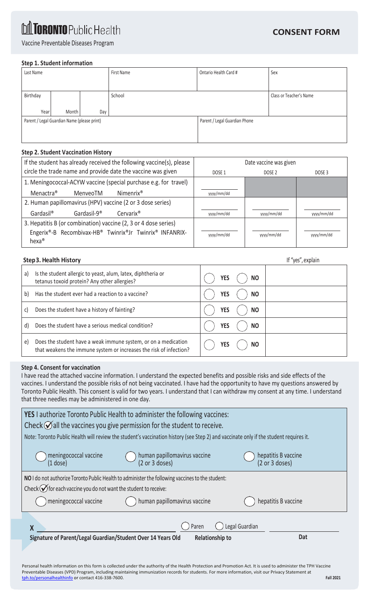# **M TORONTO Public Health**

Vaccine Preventable Diseases Program

### **Step 1. Student information**

| Class or Teacher's Name       |  |
|-------------------------------|--|
|                               |  |
| Parent / Legal Guardian Phone |  |
|                               |  |
|                               |  |

## **Step 2. Student Vaccination History**

| If the student has already received the following vaccine(s), please      | Date vaccine was given                |            |            |  |
|---------------------------------------------------------------------------|---------------------------------------|------------|------------|--|
| circle the trade name and provide date the vaccine was given              | DOSE <sub>2</sub><br>DOSE 1<br>DOSE 3 |            |            |  |
| 1. Meningococcal-ACYW vaccine (special purchase e.g. for travel)          |                                       |            |            |  |
| Menactra <sup>®</sup><br>Nimenrix <sup>®</sup><br>MenveoTM                | yyyy/mm/dd                            |            |            |  |
| 2. Human papillomavirus (HPV) vaccine (2 or 3 dose series)                |                                       |            |            |  |
| Gardasil <sup>®</sup><br>Gardasil-9 <sup>®</sup><br>Cervarix <sup>®</sup> | yyyy/mm/dd                            | yyyy/mm/dd | yyyy/mm/dd |  |
| 3. Hepatitis B (or combination) vaccine (2, 3 or 4 dose series)           |                                       |            |            |  |
| Engerix®-B Recombivax-HB® Twinrix®Jr Twinrix® INFANRIX-                   | yyyy/mm/dd                            | yyyy/mm/dd | yyyy/mm/dd |  |
| $hexa^{\circledast}$                                                      |                                       |            |            |  |

## **Step 3. Health History** If "yes", explain

| a) | Is the student allergic to yeast, alum, latex, diphtheria or<br>tetanus toxoid protein? Any other allergies?                         | <b>NO</b><br>YES        |  |
|----|--------------------------------------------------------------------------------------------------------------------------------------|-------------------------|--|
| b) | Has the student ever had a reaction to a vaccine?                                                                                    | <b>YES</b><br>NO        |  |
| C) | Does the student have a history of fainting?                                                                                         | <b>NO</b><br><b>YES</b> |  |
| d) | Does the student have a serious medical condition?                                                                                   | NO<br><b>YES</b>        |  |
| e) | Does the student have a weak immune system, or on a medication<br>that weakens the immune system or increases the risk of infection? | <b>NO</b><br>YES        |  |

### **Step 4. Consent for vaccination**

I have read the attached vaccine information. I understand the expected benefits and possible risks and side effects of the vaccines. I understand the possible risks of not being vaccinated. I have had the opportunity to have my questions answered by Toronto Public Health. This consent is valid for two years. I understand that I can withdraw my consent at any time. I understand that three needles may be administered in one day.

| <b>YES</b> I authorize Toronto Public Health to administer the following vaccines:                                                                             |                                               |                                       |  |
|----------------------------------------------------------------------------------------------------------------------------------------------------------------|-----------------------------------------------|---------------------------------------|--|
| Check $\bigcirc$ all the vaccines you give permission for the student to receive.                                                                              |                                               |                                       |  |
| Note: Toronto Public Health will review the student's vaccination history (see Step 2) and vaccinate only if the student requires it.                          |                                               |                                       |  |
| meningococcal vaccine<br>$(1$ dose)                                                                                                                            | human papillomavirus vaccine<br>(2 or 3 does) | hepatitis B vaccine<br>(2 or 3 doses) |  |
| NO I do not authorize Toronto Public Health to administer the following vaccines to the student:                                                               |                                               |                                       |  |
| Check $\bigcirc$ for each vaccine you do not want the student to receive:                                                                                      |                                               |                                       |  |
| meningococcal vaccine                                                                                                                                          | human papillomavirus vaccine                  | hepatitis B vaccine                   |  |
|                                                                                                                                                                |                                               |                                       |  |
| X                                                                                                                                                              | Paren                                         | Legal Guardian                        |  |
| Signature of Parent/Legal Guardian/Student Over 14 Years Old                                                                                                   | <b>Relationship to</b>                        | Dat                                   |  |
|                                                                                                                                                                |                                               |                                       |  |
| Personal health information on this form is collected under the authority of the Health Protection and Promotion Act. It is used to administer the TPH Vaccine |                                               |                                       |  |

Preventable Diseases (VPD) Program, including maintaining immunization records for students. For more information, visit our Privacy Statement at [tph.to/personalhealthinfo](http://www.tph.to/personalhealthinfo) or contact 416-338-7600. **Fall 2021**